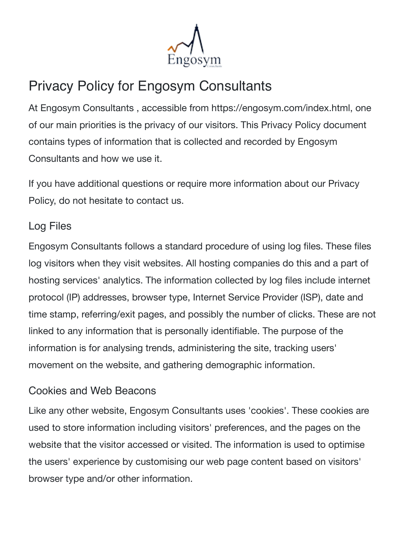

# Privacy Policy for Engosym Consultants

At Engosym Consultants , accessible from https://engosym.com/index.html, one of our main priorities is the privacy of our visitors. This Privacy Policy document contains types of information that is collected and recorded by Engosym Consultants and how we use it.

If you have additional questions or require more information about our Privacy Policy, do not hesitate to contact us.

## Log Files

Engosym Consultants follows a standard procedure of using log files. These files log visitors when they visit websites. All hosting companies do this and a part of hosting services' analytics. The information collected by log files include internet protocol (IP) addresses, browser type, Internet Service Provider (ISP), date and time stamp, referring/exit pages, and possibly the number of clicks. These are not linked to any information that is personally identifiable. The purpose of the information is for analysing trends, administering the site, tracking users' movement on the website, and gathering demographic information.

## Cookies and Web Beacons

Like any other website, Engosym Consultants uses 'cookies'. These cookies are used to store information including visitors' preferences, and the pages on the website that the visitor accessed or visited. The information is used to optimise the users' experience by customising our web page content based on visitors' browser type and/or other information.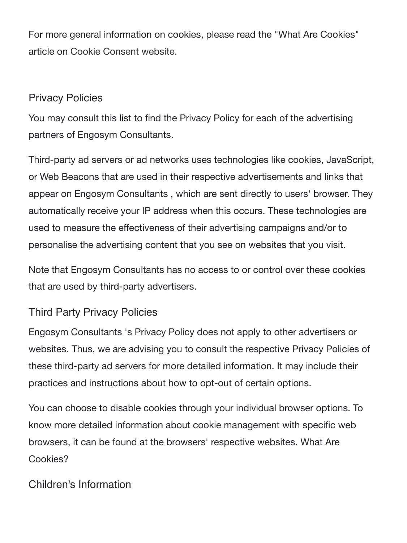For more general information on cookies, please read the "What Are Cookies" article on [Cookie Consent website.](https://www.cookieconsent.com/what-are-cookies/)

### Privacy Policies

You may consult this list to find the Privacy Policy for each of the advertising partners of Engosym Consultants.

Third-party ad servers or ad networks uses technologies like cookies, JavaScript, or Web Beacons that are used in their respective advertisements and links that appear on Engosym Consultants , which are sent directly to users' browser. They automatically receive your IP address when this occurs. These technologies are used to measure the effectiveness of their advertising campaigns and/or to personalise the advertising content that you see on websites that you visit.

Note that Engosym Consultants has no access to or control over these cookies that are used by third-party advertisers.

#### Third Party Privacy Policies

Engosym Consultants 's Privacy Policy does not apply to other advertisers or websites. Thus, we are advising you to consult the respective Privacy Policies of these third-party ad servers for more detailed information. It may include their practices and instructions about how to opt-out of certain options.

You can choose to disable cookies through your individual browser options. To know more detailed information about cookie management with specific web browsers, it can be found at the browsers' respective websites. What Are Cookies?

## Children's Information